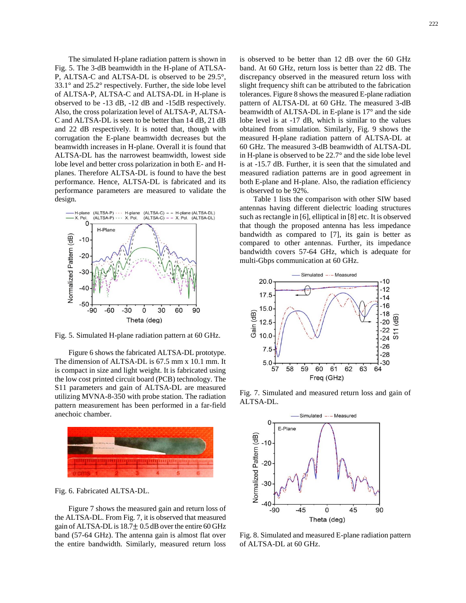The simulated H-plane radiation pattern is shown in Fig. 5. The 3-dB beamwidth in the H-plane of ATLSA-P, ALTSA-C and ALTSA-DL is observed to be 29.5°, 33.1° and 25.2° respectively. Further, the side lobe level of ALTSA-P, ALTSA-C and ALTSA-DL in H-plane is observed to be -13 dB, -12 dB and -15dB respectively. Also, the cross polarization level of ALTSA-P, ALTSA-C and ALTSA-DL is seen to be better than 14 dB, 21 dB and 22 dB respectively. It is noted that, though with corrugation the E-plane beamwidth decreases but the beamwidth increases in H-plane. Overall it is found that ALTSA-DL has the narrowest beamwidth, lowest side lobe level and better cross polarization in both E- and Hplanes. Therefore ALTSA-DL is found to have the best performance. Hence, ALTSA-DL is fabricated and its performance parameters are measured to validate the design.



Fig. 5. Simulated H-plane radiation pattern at 60 GHz.

Figure 6 shows the fabricated ALTSA-DL prototype. The dimension of ALTSA-DL is 67.5 mm x 10.1 mm. It is compact in size and light weight. It is fabricated using the low cost printed circuit board (PCB) technology. The S11 parameters and gain of ALTSA-DL are measured utilizing MVNA-8-350 with probe station. The radiation pattern measurement has been performed in a far-field anechoic chamber.



Fig. 6. Fabricated ALTSA-DL.

Figure 7 shows the measured gain and return loss of the ALTSA-DL. From Fig. 7, it is observed that measured gain of ALTSA-DL is  $18.7 \pm 0.5$  dB over the entire 60 GHz band (57-64 GHz). The antenna gain is almost flat over the entire bandwidth. Similarly, measured return loss

is observed to be better than 12 dB over the 60 GHz band. At 60 GHz, return loss is better than 22 dB. The discrepancy observed in the measured return loss with slight frequency shift can be attributed to the fabrication tolerances. Figure 8 shows the measured E-plane radiation pattern of ALTSA-DL at 60 GHz. The measured 3-dB beamwidth of ALTSA-DL in E-plane is 17° and the side lobe level is at -17 dB, which is similar to the values obtained from simulation. Similarly, Fig. 9 shows the measured H-plane radiation pattern of ALTSA-DL at 60 GHz. The measured 3-dB beamwidth of ALTSA-DL in H-plane is observed to be 22.7° and the side lobe level is at -15.7 dB. Further, it is seen that the simulated and measured radiation patterns are in good agreement in both E-plane and H-plane. Also, the radiation efficiency is observed to be 92%.

Table 1 lists the comparison with other SIW based antennas having different dielectric loading structures such as rectangle in [6], elliptical in [8] etc. It is observed that though the proposed antenna has less impedance bandwidth as compared to [7], its gain is better as compared to other antennas. Further, its impedance bandwidth covers 57-64 GHz, which is adequate for multi-Gbps communication at 60 GHz.



Fig. 7. Simulated and measured return loss and gain of ALTSA-DL.



Fig. 8. Simulated and measured E-plane radiation pattern of ALTSA-DL at 60 GHz.